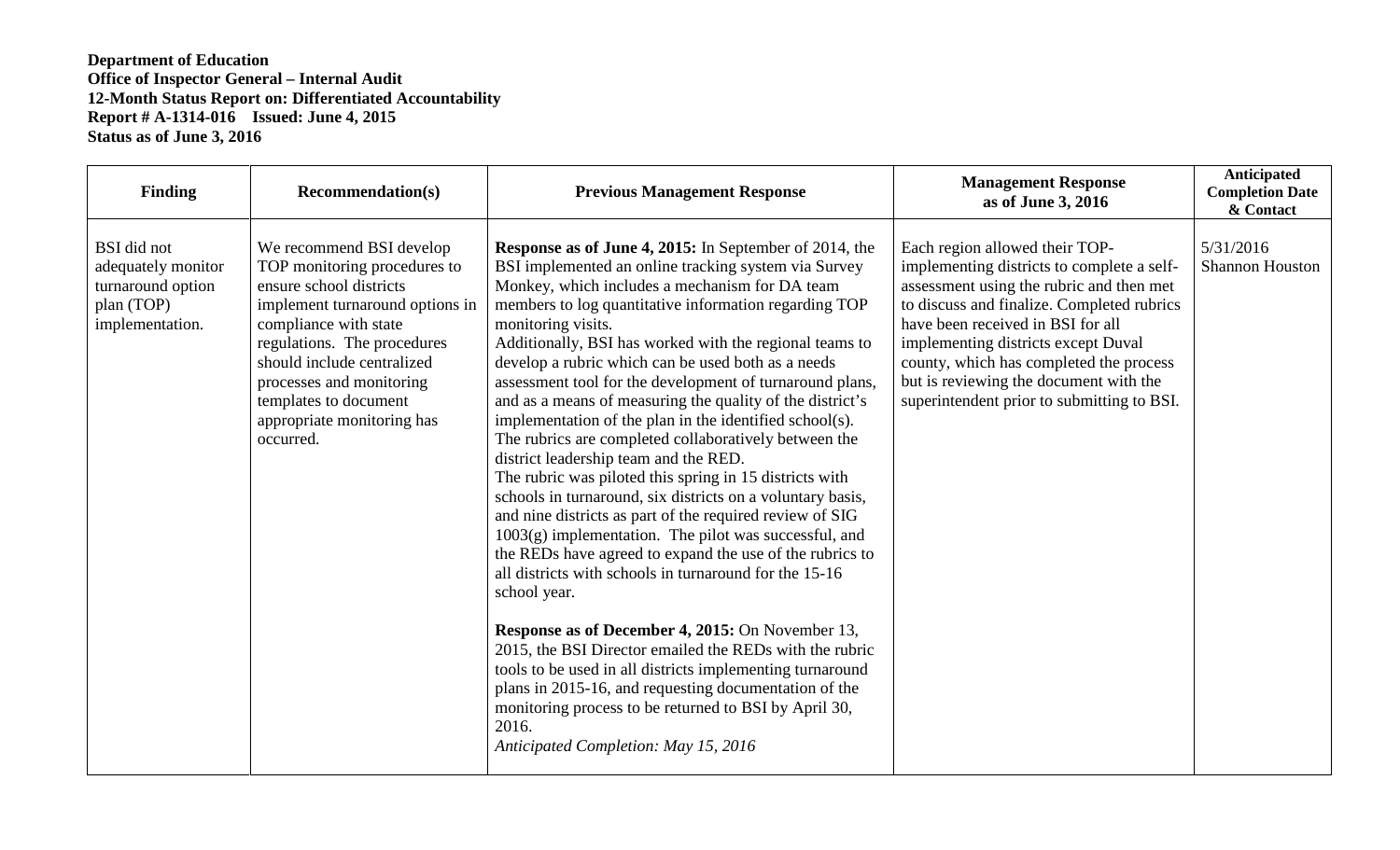| <b>Finding</b>                                                                                 | <b>Recommendation(s)</b>                                                                                                                                                                                                                                                                                     | <b>Previous Management Response</b>                                                                                                                                                                                                                                                                                                                                                                                                                                                                                                                                                                                                                                                                                                                                                                                                                                                                                                                                                                                                                                                                                                                                                                                                                                                                                                                                                                     | <b>Management Response</b><br>as of June 3, 2016                                                                                                                                                                                                                                                                                                                                      | <b>Anticipated</b><br><b>Completion Date</b><br>& Contact |
|------------------------------------------------------------------------------------------------|--------------------------------------------------------------------------------------------------------------------------------------------------------------------------------------------------------------------------------------------------------------------------------------------------------------|---------------------------------------------------------------------------------------------------------------------------------------------------------------------------------------------------------------------------------------------------------------------------------------------------------------------------------------------------------------------------------------------------------------------------------------------------------------------------------------------------------------------------------------------------------------------------------------------------------------------------------------------------------------------------------------------------------------------------------------------------------------------------------------------------------------------------------------------------------------------------------------------------------------------------------------------------------------------------------------------------------------------------------------------------------------------------------------------------------------------------------------------------------------------------------------------------------------------------------------------------------------------------------------------------------------------------------------------------------------------------------------------------------|---------------------------------------------------------------------------------------------------------------------------------------------------------------------------------------------------------------------------------------------------------------------------------------------------------------------------------------------------------------------------------------|-----------------------------------------------------------|
| <b>BSI</b> did not<br>adequately monitor<br>turnaround option<br>plan (TOP)<br>implementation. | We recommend BSI develop<br>TOP monitoring procedures to<br>ensure school districts<br>implement turnaround options in<br>compliance with state<br>regulations. The procedures<br>should include centralized<br>processes and monitoring<br>templates to document<br>appropriate monitoring has<br>occurred. | <b>Response as of June 4, 2015:</b> In September of 2014, the<br>BSI implemented an online tracking system via Survey<br>Monkey, which includes a mechanism for DA team<br>members to log quantitative information regarding TOP<br>monitoring visits.<br>Additionally, BSI has worked with the regional teams to<br>develop a rubric which can be used both as a needs<br>assessment tool for the development of turnaround plans,<br>and as a means of measuring the quality of the district's<br>implementation of the plan in the identified school(s).<br>The rubrics are completed collaboratively between the<br>district leadership team and the RED.<br>The rubric was piloted this spring in 15 districts with<br>schools in turnaround, six districts on a voluntary basis,<br>and nine districts as part of the required review of SIG<br>1003(g) implementation. The pilot was successful, and<br>the REDs have agreed to expand the use of the rubrics to<br>all districts with schools in turnaround for the 15-16<br>school year.<br><b>Response as of December 4, 2015:</b> On November 13,<br>2015, the BSI Director emailed the REDs with the rubric<br>tools to be used in all districts implementing turnaround<br>plans in 2015-16, and requesting documentation of the<br>monitoring process to be returned to BSI by April 30,<br>2016.<br>Anticipated Completion: May 15, 2016 | Each region allowed their TOP-<br>implementing districts to complete a self-<br>assessment using the rubric and then met<br>to discuss and finalize. Completed rubrics<br>have been received in BSI for all<br>implementing districts except Duval<br>county, which has completed the process<br>but is reviewing the document with the<br>superintendent prior to submitting to BSI. | 5/31/2016<br><b>Shannon Houston</b>                       |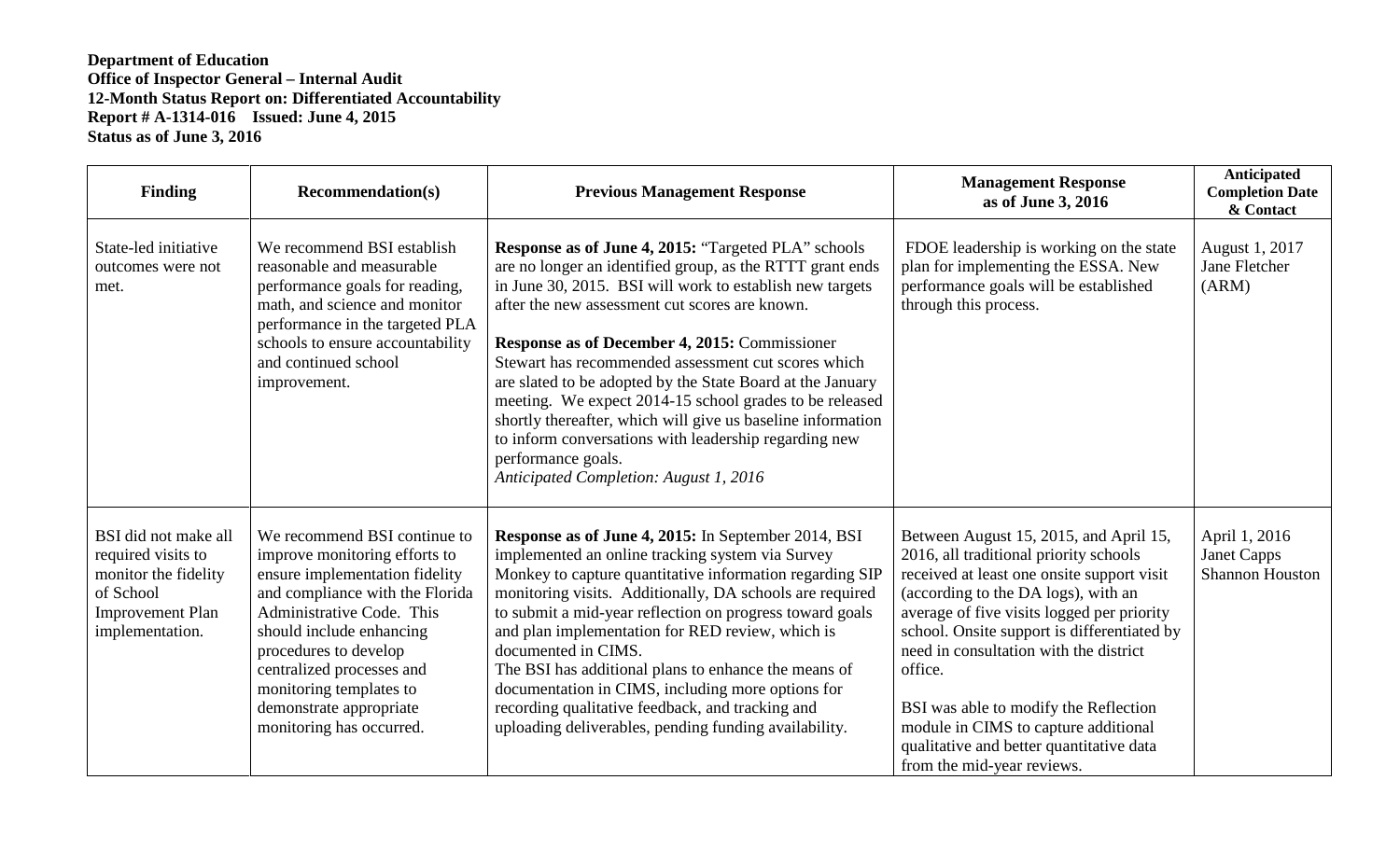| <b>Finding</b>                                                                                                                | <b>Recommendation(s)</b>                                                                                                                                                                                                                                                                                                            | <b>Previous Management Response</b>                                                                                                                                                                                                                                                                                                                                                                                                                                                                                                                                                                                                                                   | <b>Management Response</b><br>as of June 3, 2016                                                                                                                                                                                                                                                                                                                                                                                                                                   | <b>Anticipated</b><br><b>Completion Date</b><br>& Contact |
|-------------------------------------------------------------------------------------------------------------------------------|-------------------------------------------------------------------------------------------------------------------------------------------------------------------------------------------------------------------------------------------------------------------------------------------------------------------------------------|-----------------------------------------------------------------------------------------------------------------------------------------------------------------------------------------------------------------------------------------------------------------------------------------------------------------------------------------------------------------------------------------------------------------------------------------------------------------------------------------------------------------------------------------------------------------------------------------------------------------------------------------------------------------------|------------------------------------------------------------------------------------------------------------------------------------------------------------------------------------------------------------------------------------------------------------------------------------------------------------------------------------------------------------------------------------------------------------------------------------------------------------------------------------|-----------------------------------------------------------|
| State-led initiative<br>outcomes were not<br>met.                                                                             | We recommend BSI establish<br>reasonable and measurable<br>performance goals for reading,<br>math, and science and monitor<br>performance in the targeted PLA<br>schools to ensure accountability<br>and continued school<br>improvement.                                                                                           | <b>Response as of June 4, 2015: "Targeted PLA" schools</b><br>are no longer an identified group, as the RTTT grant ends<br>in June 30, 2015. BSI will work to establish new targets<br>after the new assessment cut scores are known.<br><b>Response as of December 4, 2015: Commissioner</b><br>Stewart has recommended assessment cut scores which<br>are slated to be adopted by the State Board at the January<br>meeting. We expect 2014-15 school grades to be released<br>shortly thereafter, which will give us baseline information<br>to inform conversations with leadership regarding new<br>performance goals.<br>Anticipated Completion: August 1, 2016 | FDOE leadership is working on the state<br>plan for implementing the ESSA. New<br>performance goals will be established<br>through this process.                                                                                                                                                                                                                                                                                                                                   | August 1, 2017<br>Jane Fletcher<br>(ARM)                  |
| BSI did not make all<br>required visits to<br>monitor the fidelity<br>of School<br><b>Improvement Plan</b><br>implementation. | We recommend BSI continue to<br>improve monitoring efforts to<br>ensure implementation fidelity<br>and compliance with the Florida<br>Administrative Code. This<br>should include enhancing<br>procedures to develop<br>centralized processes and<br>monitoring templates to<br>demonstrate appropriate<br>monitoring has occurred. | <b>Response as of June 4, 2015:</b> In September 2014, BSI<br>implemented an online tracking system via Survey<br>Monkey to capture quantitative information regarding SIP<br>monitoring visits. Additionally, DA schools are required<br>to submit a mid-year reflection on progress toward goals<br>and plan implementation for RED review, which is<br>documented in CIMS.<br>The BSI has additional plans to enhance the means of<br>documentation in CIMS, including more options for<br>recording qualitative feedback, and tracking and<br>uploading deliverables, pending funding availability.                                                               | Between August 15, 2015, and April 15,<br>2016, all traditional priority schools<br>received at least one onsite support visit<br>(according to the DA logs), with an<br>average of five visits logged per priority<br>school. Onsite support is differentiated by<br>need in consultation with the district<br>office.<br>BSI was able to modify the Reflection<br>module in CIMS to capture additional<br>qualitative and better quantitative data<br>from the mid-year reviews. | April 1, 2016<br>Janet Capps<br><b>Shannon Houston</b>    |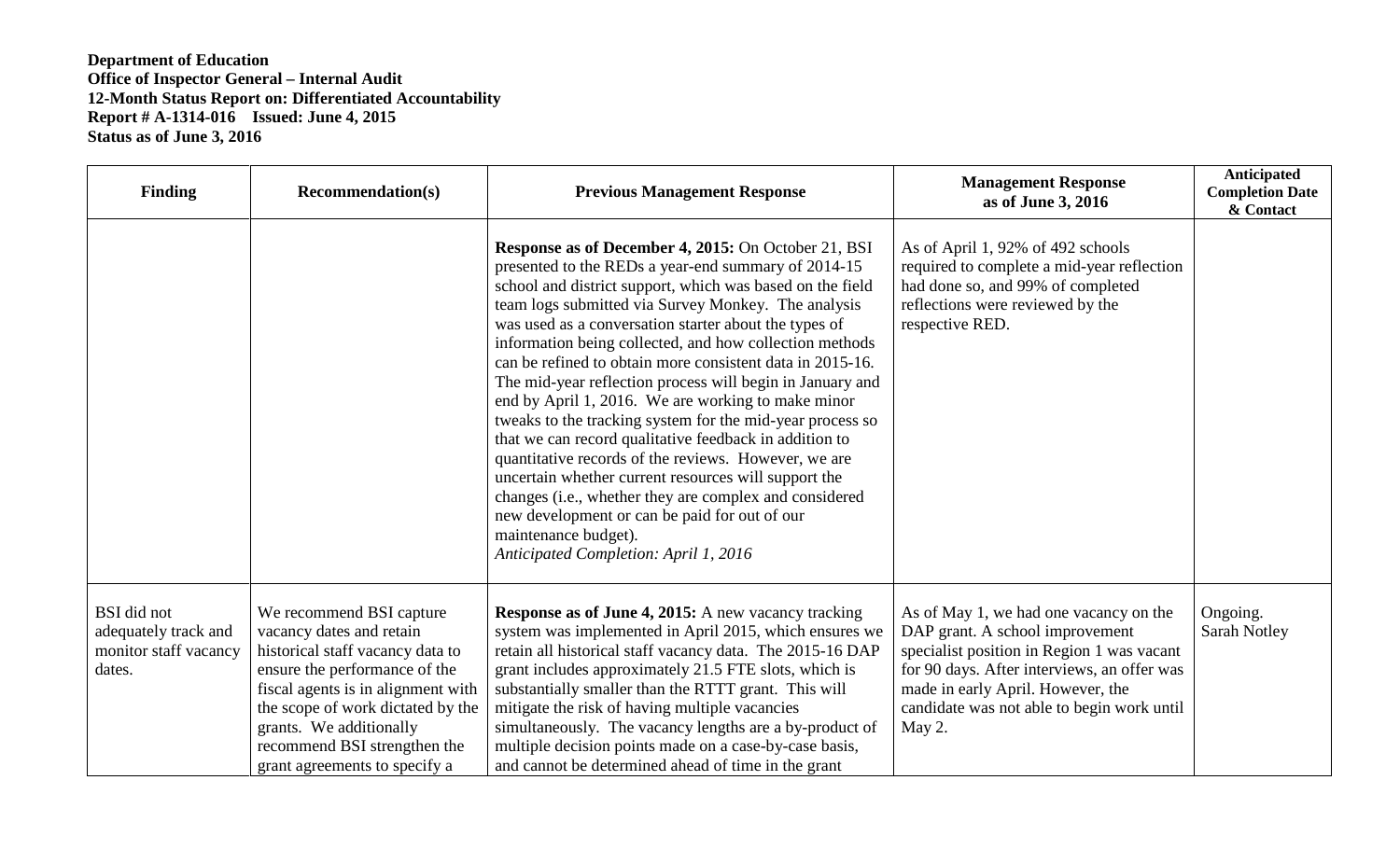| <b>Finding</b>                                                                | <b>Recommendation(s)</b>                                                                                                                                                                                                                                                                         | <b>Previous Management Response</b>                                                                                                                                                                                                                                                                                                                                                                                                                                                                                                                                                                                                                                                                                                                                                                                                                                                                                                                   | <b>Management Response</b><br>as of June 3, 2016                                                                                                                                                                                                                    | Anticipated<br><b>Completion Date</b><br>& Contact |
|-------------------------------------------------------------------------------|--------------------------------------------------------------------------------------------------------------------------------------------------------------------------------------------------------------------------------------------------------------------------------------------------|-------------------------------------------------------------------------------------------------------------------------------------------------------------------------------------------------------------------------------------------------------------------------------------------------------------------------------------------------------------------------------------------------------------------------------------------------------------------------------------------------------------------------------------------------------------------------------------------------------------------------------------------------------------------------------------------------------------------------------------------------------------------------------------------------------------------------------------------------------------------------------------------------------------------------------------------------------|---------------------------------------------------------------------------------------------------------------------------------------------------------------------------------------------------------------------------------------------------------------------|----------------------------------------------------|
|                                                                               |                                                                                                                                                                                                                                                                                                  | Response as of December 4, 2015: On October 21, BSI<br>presented to the REDs a year-end summary of 2014-15<br>school and district support, which was based on the field<br>team logs submitted via Survey Monkey. The analysis<br>was used as a conversation starter about the types of<br>information being collected, and how collection methods<br>can be refined to obtain more consistent data in 2015-16.<br>The mid-year reflection process will begin in January and<br>end by April 1, 2016. We are working to make minor<br>tweaks to the tracking system for the mid-year process so<br>that we can record qualitative feedback in addition to<br>quantitative records of the reviews. However, we are<br>uncertain whether current resources will support the<br>changes (i.e., whether they are complex and considered<br>new development or can be paid for out of our<br>maintenance budget).<br>Anticipated Completion: April 1, 2016 | As of April 1, 92% of 492 schools<br>required to complete a mid-year reflection<br>had done so, and 99% of completed<br>reflections were reviewed by the<br>respective RED.                                                                                         |                                                    |
| <b>BSI</b> did not<br>adequately track and<br>monitor staff vacancy<br>dates. | We recommend BSI capture<br>vacancy dates and retain<br>historical staff vacancy data to<br>ensure the performance of the<br>fiscal agents is in alignment with<br>the scope of work dictated by the<br>grants. We additionally<br>recommend BSI strengthen the<br>grant agreements to specify a | Response as of June 4, 2015: A new vacancy tracking<br>system was implemented in April 2015, which ensures we<br>retain all historical staff vacancy data. The 2015-16 DAP<br>grant includes approximately 21.5 FTE slots, which is<br>substantially smaller than the RTTT grant. This will<br>mitigate the risk of having multiple vacancies<br>simultaneously. The vacancy lengths are a by-product of<br>multiple decision points made on a case-by-case basis,<br>and cannot be determined ahead of time in the grant                                                                                                                                                                                                                                                                                                                                                                                                                             | As of May 1, we had one vacancy on the<br>DAP grant. A school improvement<br>specialist position in Region 1 was vacant<br>for 90 days. After interviews, an offer was<br>made in early April. However, the<br>candidate was not able to begin work until<br>May 2. | Ongoing.<br><b>Sarah Notley</b>                    |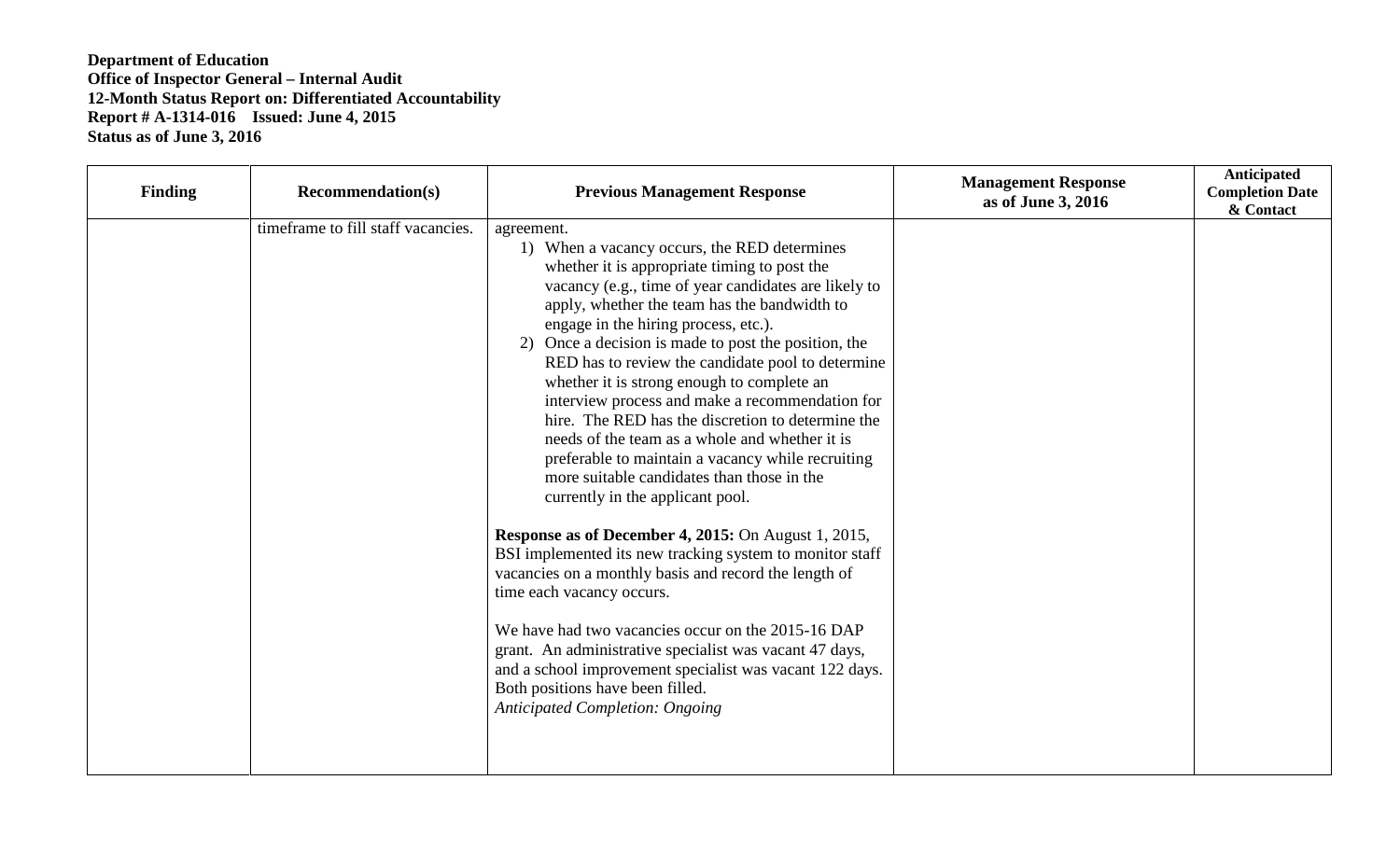| <b>Finding</b> | <b>Recommendation(s)</b>           | <b>Previous Management Response</b>                                                                                                                                                                                                                                                                                                                                                                                                                                                                                                                                                                                                                                                                                                                                                                                                                                                                                                                                                                                                                                                                                                                                                        | <b>Management Response</b><br>as of June 3, 2016 | <b>Anticipated</b><br><b>Completion Date</b><br>& Contact |
|----------------|------------------------------------|--------------------------------------------------------------------------------------------------------------------------------------------------------------------------------------------------------------------------------------------------------------------------------------------------------------------------------------------------------------------------------------------------------------------------------------------------------------------------------------------------------------------------------------------------------------------------------------------------------------------------------------------------------------------------------------------------------------------------------------------------------------------------------------------------------------------------------------------------------------------------------------------------------------------------------------------------------------------------------------------------------------------------------------------------------------------------------------------------------------------------------------------------------------------------------------------|--------------------------------------------------|-----------------------------------------------------------|
|                | timeframe to fill staff vacancies. | agreement.<br>1) When a vacancy occurs, the RED determines<br>whether it is appropriate timing to post the<br>vacancy (e.g., time of year candidates are likely to<br>apply, whether the team has the bandwidth to<br>engage in the hiring process, etc.).<br>2) Once a decision is made to post the position, the<br>RED has to review the candidate pool to determine<br>whether it is strong enough to complete an<br>interview process and make a recommendation for<br>hire. The RED has the discretion to determine the<br>needs of the team as a whole and whether it is<br>preferable to maintain a vacancy while recruiting<br>more suitable candidates than those in the<br>currently in the applicant pool.<br>Response as of December 4, 2015: On August 1, 2015,<br>BSI implemented its new tracking system to monitor staff<br>vacancies on a monthly basis and record the length of<br>time each vacancy occurs.<br>We have had two vacancies occur on the 2015-16 DAP<br>grant. An administrative specialist was vacant 47 days,<br>and a school improvement specialist was vacant 122 days.<br>Both positions have been filled.<br><b>Anticipated Completion: Ongoing</b> |                                                  |                                                           |